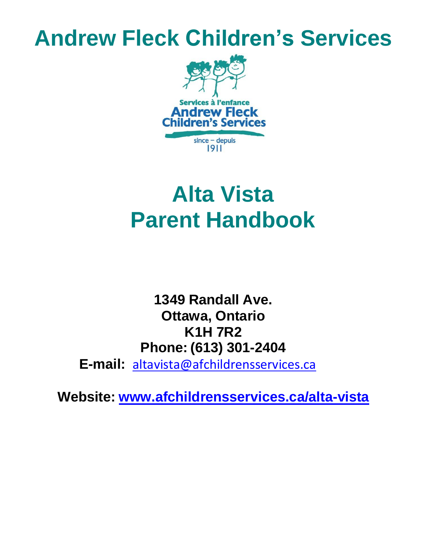# **Andrew Fleck Children's Services**



# **Alta Vista Parent Handbook**

**1349 Randall Ave. Ottawa, Ontario K1H 7R2 Phone: (613) 301-2404**

**E-mail:** [altavista@afchildrensservices.ca](mailto:altavista@afchildrensservices.ca)

**Website: [www.afchildrensservices.ca/alta-vista](http://www.afchildrensservices.ca/alta-vista)**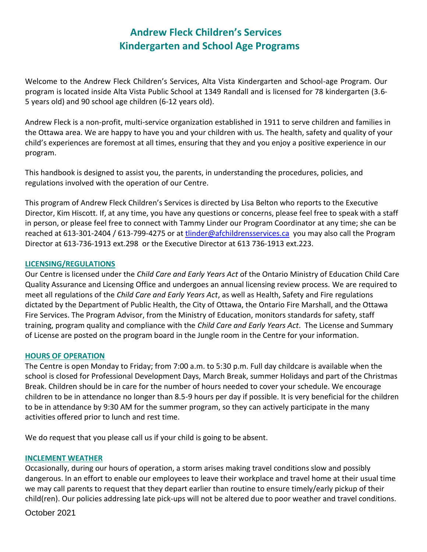# **Andrew Fleck Children's Services Kindergarten and School Age Programs**

Welcome to the Andrew Fleck Children's Services, Alta Vista Kindergarten and School-age Program. Our program is located inside Alta Vista Public School at 1349 Randall and is licensed for 78 kindergarten (3.6- 5 years old) and 90 school age children (6-12 years old).

Andrew Fleck is a non-profit, multi-service organization established in 1911 to serve children and families in the Ottawa area. We are happy to have you and your children with us. The health, safety and quality of your child's experiences are foremost at all times, ensuring that they and you enjoy a positive experience in our program.

This handbook is designed to assist you, the parents, in understanding the procedures, policies, and regulations involved with the operation of our Centre.

This program of Andrew Fleck Children's Services is directed by Lisa Belton who reports to the Executive Director, Kim Hiscott. If, at any time, you have any questions or concerns, please feel free to speak with a staff in person, or please feel free to connect with Tammy Linder our Program Coordinator at any time; she can be reached at 613-301-2404 / 613-799-4275 or a[t tlinder@afchildrensservices.ca](mailto:tlinder@afchildrensservices.ca) [y](mailto:jgomez@afchildrensservices.ca)ou may also call the Program Director at 613-736-1913 ext.298 or the Executive Director at 613 736-1913 ext.223.

## **LICENSING/REGULATIONS**

Our Centre is licensed under the *Child Care and Early Years Act* of the Ontario Ministry of Education Child Care Quality Assurance and Licensing Office and undergoes an annual licensing review process. We are required to meet all regulations of the *Child Care and Early Years Act*, as well as Health, Safety and Fire regulations dictated by the Department of Public Health, the City of Ottawa, the Ontario Fire Marshall, and the Ottawa Fire Services. The Program Advisor, from the Ministry of Education, monitors standards for safety, staff training, program quality and compliance with the *Child Care and Early Years Act*. The License and Summary of License are posted on the program board in the Jungle room in the Centre for your information.

## **HOURS OF OPERATION**

The Centre is open Monday to Friday; from 7:00 a.m. to 5:30 p.m. Full day childcare is available when the school is closed for Professional Development Days, March Break, summer Holidays and part of the Christmas Break. Children should be in care for the number of hours needed to cover your schedule. We encourage children to be in attendance no longer than 8.5-9 hours per day if possible. It is very beneficial for the children to be in attendance by 9:30 AM for the summer program, so they can actively participate in the many activities offered prior to lunch and rest time.

We do request that you please call us if your child is going to be absent.

## **INCLEMENT WEATHER**

Occasionally, during our hours of operation, a storm arises making travel conditions slow and possibly dangerous. In an effort to enable our employees to leave their workplace and travel home at their usual time we may call parents to request that they depart earlier than routine to ensure timely/early pickup of their child(ren). Our policies addressing late pick-ups will not be altered due to poor weather and travel conditions.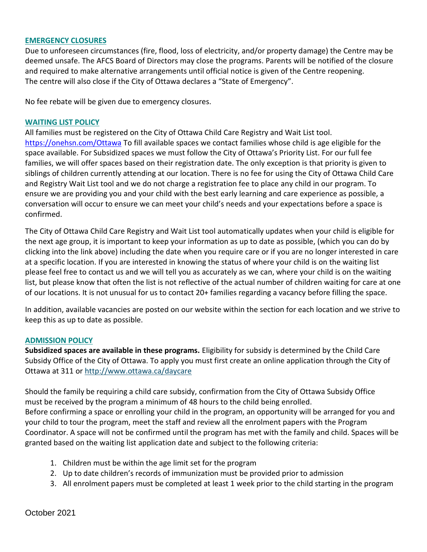#### **EMERGENCY CLOSURES**

Due to unforeseen circumstances (fire, flood, loss of electricity, and/or property damage) the Centre may be deemed unsafe. The AFCS Board of Directors may close the programs. Parents will be notified of the closure and required to make alternative arrangements until official notice is given of the Centre reopening. The centre will also close if the City of Ottawa declares a "State of Emergency".

No fee rebate will be given due to emergency closures.

#### **WAITING LIST POLICY**

All families must be registered on the City of Ottawa Child Care Registry and Wait List tool. https://onehsn.com/Ottawa To fill available spaces we contact families whose child is age eligible for the space available. For Subsidized spaces we must follow the City of Ottawa's Priority List. For our full fee families, we will offer spaces based on their registration date. The only exception is that priority is given to siblings of children currently attending at our location. There is no fee for using the City of Ottawa Child Care and Registry Wait List tool and we do not charge a registration fee to place any child in our program. To ensure we are providing you and your child with the best early learning and care experience as possible, a conversation will occur to ensure we can meet your child's needs and your expectations before a space is confirmed.

The City of Ottawa Child Care Registry and Wait List tool automatically updates when your child is eligible for the next age group, it is important to keep your information as up to date as possible, (which you can do by clicking into the link above) including the date when you require care or if you are no longer interested in care at a specific location. If you are interested in knowing the status of where your child is on the waiting list please feel free to contact us and we will tell you as accurately as we can, where your child is on the waiting list, but please know that often the list is not reflective of the actual number of children waiting for care at one of our locations. It is not unusual for us to contact 20+ families regarding a vacancy before filling the space.

In addition, available vacancies are posted on our website within the section for each location and we strive to keep this as up to date as possible.

#### **ADMISSION POLICY**

**Subsidized spaces are available in these programs.** Eligibility for subsidy is determined by the Child Care Subsidy Office of the City of Ottawa. To apply you must first create an online application through the City of Ottawa at 311 or <http://www.ottawa.ca/daycare>

Should the family be requiring a child care subsidy, confirmation from the City of Ottawa Subsidy Office must be received by the program a minimum of 48 hours to the child being enrolled. Before confirming a space or enrolling your child in the program, an opportunity will be arranged for you and your child to tour the program, meet the staff and review all the enrolment papers with the Program Coordinator. A space will not be confirmed until the program has met with the family and child. Spaces will be granted based on the waiting list application date and subject to the following criteria:

- 1. Children must be within the age limit set for the program
- 2. Up to date children's records of immunization must be provided prior to admission
- 3. All enrolment papers must be completed at least 1 week prior to the child starting in the program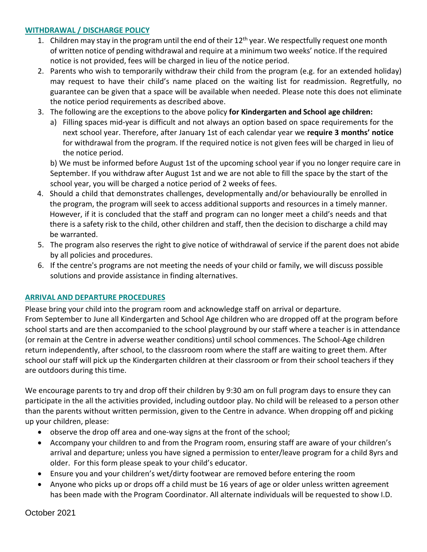# **WITHDRAWAL / DISCHARGE POLICY**

- 1. Children may stay in the program until the end of their 12<sup>th</sup> year. We respectfully request one month of written notice of pending withdrawal and require at a minimum two weeks' notice. If the required notice is not provided, fees will be charged in lieu of the notice period.
- 2. Parents who wish to temporarily withdraw their child from the program (e.g. for an extended holiday) may request to have their child's name placed on the waiting list for readmission. Regretfully, no guarantee can be given that a space will be available when needed. Please note this does not eliminate the notice period requirements as described above.
- 3. The following are the exceptions to the above policy **for Kindergarten and School age children:**
	- a) Filling spaces mid-year is difficult and not always an option based on space requirements for the next school year. Therefore, after January 1st of each calendar year we **require 3 months' notice** for withdrawal from the program. If the required notice is not given fees will be charged in lieu of the notice period.

b) We must be informed before August 1st of the upcoming school year if you no longer require care in September. If you withdraw after August 1st and we are not able to fill the space by the start of the school year, you will be charged a notice period of 2 weeks of fees.

- 4. Should a child that demonstrates challenges, developmentally and/or behaviourally be enrolled in the program, the program will seek to access additional supports and resources in a timely manner. However, if it is concluded that the staff and program can no longer meet a child's needs and that there is a safety risk to the child, other children and staff, then the decision to discharge a child may be warranted.
- 5. The program also reserves the right to give notice of withdrawal of service if the parent does not abide by all policies and procedures.
- 6. If the centre's programs are not meeting the needs of your child or family, we will discuss possible solutions and provide assistance in finding alternatives.

# **ARRIVAL AND DEPARTURE PROCEDURES**

Please bring your child into the program room and acknowledge staff on arrival or departure. From September to June all Kindergarten and School Age children who are dropped off at the program before school starts and are then accompanied to the school playground by our staff where a teacher is in attendance (or remain at the Centre in adverse weather conditions) until school commences. The School-Age children return independently, after school, to the classroom room where the staff are waiting to greet them. After school our staff will pick up the Kindergarten children at their classroom or from their school teachers if they are outdoors during this time.

We encourage parents to try and drop off their children by 9:30 am on full program days to ensure they can participate in the all the activities provided, including outdoor play. No child will be released to a person other than the parents without written permission, given to the Centre in advance. When dropping off and picking up your children, please:

- observe the drop off area and one-way signs at the front of the school;
- Accompany your children to and from the Program room, ensuring staff are aware of your children's arrival and departure; unless you have signed a permission to enter/leave program for a child 8yrs and older. For this form please speak to your child's educator.
- Ensure you and your children's wet/dirty footwear are removed before entering the room
- Anyone who picks up or drops off a child must be 16 years of age or older unless written agreement has been made with the Program Coordinator. All alternate individuals will be requested to show I.D.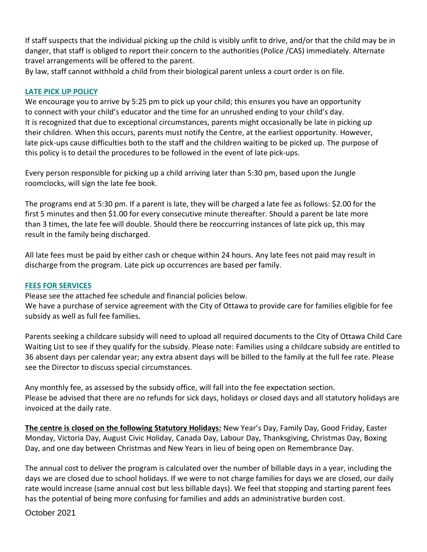If staff suspects that the individual picking up the child is visibly unfit to drive, and/or that the child may be in danger, that staff is obliged to report their concern to the authorities (Police /CAS) immediately. Alternate travel arrangements will be offered to the parent.

By law, staff cannot withhold a child from their biological parent unless a court order is on file.

# **LATE PICK UP POLICY**

We encourage you to arrive by 5:25 pm to pick up your child; this ensures you have an opportunity to connect with your child's educator and the time for an unrushed ending to your child's day. It is recognized that due to exceptional circumstances, parents might occasionally be late in picking up their children. When this occurs, parents must notify the Centre, at the earliest opportunity. However, late pick-ups cause difficulties both to the staff and the children waiting to be picked up. The purpose of this policy is to detail the procedures to be followed in the event of late pick-ups.

Every person responsible for picking up a child arriving later than 5:30 pm, based upon the Jungle roomclocks, will sign the late fee book.

The programs end at 5:30 pm. If a parent is late, they will be charged a late fee as follows: \$2.00 for the first 5 minutes and then \$1.00 for every consecutive minute thereafter. Should a parent be late more than 3 times, the late fee will double. Should there be reoccurring instances of late pick up, this may result in the family being discharged.

All late fees must be paid by either cash or cheque within 24 hours. Any late fees not paid may result in discharge from the program. Late pick up occurrences are based per family.

## **FEES FOR SERVICES**

Please see the attached fee schedule and financial policies below.

We have a purchase of service agreement with the City of Ottawa to provide care for families eligible for fee subsidy as well as full fee families.

Parents seeking a childcare subsidy will need to upload all required documents to the City of Ottawa Child Care Waiting List to see if they qualify for the subsidy. Please note: Families using a childcare subsidy are entitled to 36 absent days per calendar year; any extra absent days will be billed to the family at the full fee rate. Please see the Director to discuss special circumstances.

Any monthly fee, as assessed by the subsidy office, will fall into the fee expectation section. Please be advised that there are no refunds for sick days, holidays or closed days and all statutory holidays are invoiced at the daily rate.

**The centre is closed on the following Statutory Holidays:** New Year's Day, Family Day, Good Friday, Easter Monday, Victoria Day, August Civic Holiday, Canada Day, Labour Day, Thanksgiving, Christmas Day, Boxing Day, and one day between Christmas and New Years in lieu of being open on Remembrance Day.

The annual cost to deliver the program is calculated over the number of billable days in a year, including the days we are closed due to school holidays. If we were to not charge families for days we are closed, our daily rate would increase (same annual cost but less billable days). We feel that stopping and starting parent fees has the potential of being more confusing for families and adds an administrative burden cost.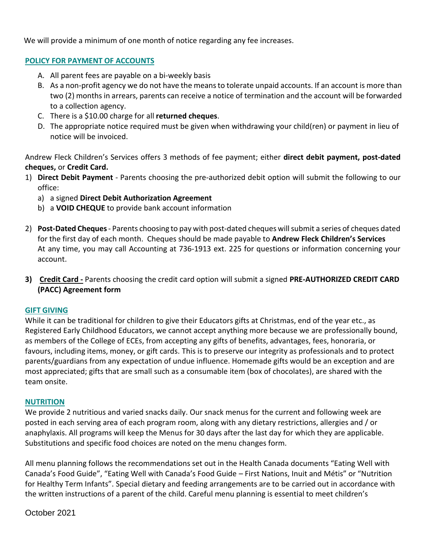We will provide a minimum of one month of notice regarding any fee increases.

# **POLICY FOR PAYMENT OF ACCOUNTS**

- A. All parent fees are payable on a bi-weekly basis
- B. As a non-profit agency we do not have the meansto tolerate unpaid accounts. If an account is more than two (2) months in arrears, parents can receive a notice of termination and the account will be forwarded to a collection agency.
- C. There is a \$10.00 charge for all **returned cheques**.
- D. The appropriate notice required must be given when withdrawing your child(ren) or payment in lieu of notice will be invoiced.

Andrew Fleck Children's Services offers 3 methods of fee payment; either **direct debit payment, post-dated cheques,** or **Credit Card.**

- 1) **Direct Debit Payment** Parents choosing the pre-authorized debit option will submit the following to our office:
	- a) a signed **Direct Debit Authorization Agreement**
	- b) a **VOID CHEQUE** to provide bank account information
- 2) **Post-Dated Cheques** Parents choosing to pay with post-dated cheques willsubmit a series of cheques dated for the first day of each month. Cheques should be made payable to **Andrew Fleck Children's Services** At any time, you may call Accounting at 736-1913 ext. 225 for questions or information concerning your account.
- **3) Credit Card -** Parents choosing the credit card option will submit a signed **PRE-AUTHORIZED CREDIT CARD (PACC) Agreement form**

## **GIFT GIVING**

While it can be traditional for children to give their Educators gifts at Christmas, end of the year etc., as Registered Early Childhood Educators, we cannot accept anything more because we are professionally bound, as members of the College of ECEs, from accepting any gifts of benefits, advantages, fees, honoraria, or favours, including items, money, or gift cards. This is to preserve our integrity as professionals and to protect parents/guardians from any expectation of undue influence. Homemade gifts would be an exception and are most appreciated; gifts that are small such as a consumable item (box of chocolates), are shared with the team onsite.

## **NUTRITION**

We provide 2 nutritious and varied snacks daily. Our snack menus for the current and following week are posted in each serving area of each program room, along with any dietary restrictions, allergies and / or anaphylaxis. All programs will keep the Menus for 30 days after the last day for which they are applicable. Substitutions and specific food choices are noted on the menu changes form.

All menu planning follows the recommendations set out in the Health Canada documents "Eating Well with Canada's Food Guide", "Eating Well with Canada's Food Guide – First Nations, Inuit and Métis" or "Nutrition for Healthy Term Infants". Special dietary and feeding arrangements are to be carried out in accordance with the written instructions of a parent of the child. Careful menu planning is essential to meet children's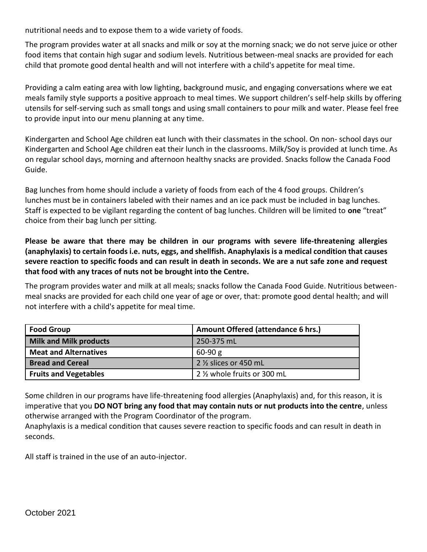nutritional needs and to expose them to a wide variety of foods.

The program provides water at all snacks and milk or soy at the morning snack; we do not serve juice or other food items that contain high sugar and sodium levels. Nutritious between-meal snacks are provided for each child that promote good dental health and will not interfere with a child's appetite for meal time.

Providing a calm eating area with low lighting, background music, and engaging conversations where we eat meals family style supports a positive approach to meal times. We support children's self-help skills by offering utensils for self-serving such as small tongs and using small containers to pour milk and water. Please feel free to provide input into our menu planning at any time.

Kindergarten and School Age children eat lunch with their classmates in the school. On non- school days our Kindergarten and School Age children eat their lunch in the classrooms. Milk/Soy is provided at lunch time. As on regular school days, morning and afternoon healthy snacks are provided. Snacks follow the Canada Food Guide.

Bag lunches from home should include a variety of foods from each of the 4 food groups. Children's lunches must be in containers labeled with their names and an ice pack must be included in bag lunches. Staff is expected to be vigilant regarding the content of bag lunches. Children will be limited to **one** "treat" choice from their bag lunch per sitting.

**Please be aware that there may be children in our programs with severe life-threatening allergies (anaphylaxis) to certain foods i.e. nuts, eggs, and shellfish. Anaphylaxis is a medical condition that causes severe reaction to specific foods and can result in death in seconds. We are a nut safe zone and request that food with any traces of nuts not be brought into the Centre.**

The program provides water and milk at all meals; snacks follow the Canada Food Guide. Nutritious betweenmeal snacks are provided for each child one year of age or over, that: promote good dental health; and will not interfere with a child's appetite for meal time.

| <b>Food Group</b>             | Amount Offered (attendance 6 hrs.) |
|-------------------------------|------------------------------------|
| <b>Milk and Milk products</b> | 250-375 mL                         |
| <b>Meat and Alternatives</b>  | $60-90 g$                          |
| <b>Bread and Cereal</b>       | 2 1/2 slices or 450 mL             |
| <b>Fruits and Vegetables</b>  | 2 1/2 whole fruits or 300 mL       |

Some children in our programs have life-threatening food allergies (Anaphylaxis) and, for this reason, it is imperative that you **DO NOT bring any food that may contain nuts or nut products into the centre**, unless otherwise arranged with the Program Coordinator of the program.

Anaphylaxis is a medical condition that causes severe reaction to specific foods and can result in death in seconds.

All staff is trained in the use of an auto-injector.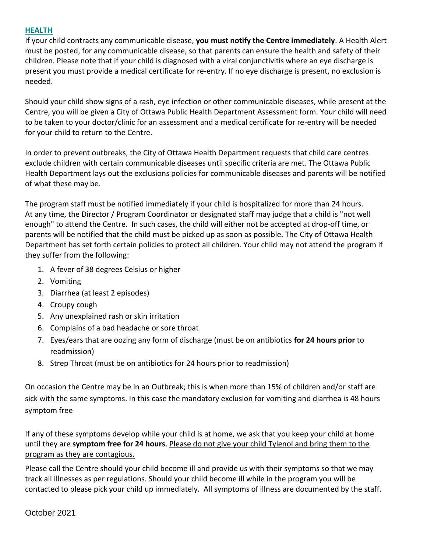# **HEALTH**

If your child contracts any communicable disease, **you must notify the Centre immediately**. A Health Alert must be posted, for any communicable disease, so that parents can ensure the health and safety of their children. Please note that if your child is diagnosed with a viral conjunctivitis where an eye discharge is present you must provide a medical certificate for re-entry. If no eye discharge is present, no exclusion is needed.

Should your child show signs of a rash, eye infection or other communicable diseases, while present at the Centre, you will be given a City of Ottawa Public Health Department Assessment form. Your child will need to be taken to your doctor/clinic for an assessment and a medical certificate for re-entry will be needed for your child to return to the Centre.

In order to prevent outbreaks, the City of Ottawa Health Department requests that child care centres exclude children with certain communicable diseases until specific criteria are met. The Ottawa Public Health Department lays out the exclusions policies for communicable diseases and parents will be notified of what these may be.

The program staff must be notified immediately if your child is hospitalized for more than 24 hours. At any time, the Director / Program Coordinator or designated staff may judge that a child is "not well enough" to attend the Centre. In such cases, the child will either not be accepted at drop-off time, or parents will be notified that the child must be picked up as soon as possible. The City of Ottawa Health Department has set forth certain policies to protect all children. Your child may not attend the program if they suffer from the following:

- 1. A fever of 38 degrees Celsius or higher
- 2. Vomiting
- 3. Diarrhea (at least 2 episodes)
- 4. Croupy cough
- 5. Any unexplained rash or skin irritation
- 6. Complains of a bad headache or sore throat
- 7. Eyes/ears that are oozing any form of discharge (must be on antibiotics **for 24 hours prior** to readmission)
- 8. Strep Throat (must be on antibiotics for 24 hours prior to readmission)

On occasion the Centre may be in an Outbreak; this is when more than 15% of children and/or staff are sick with the same symptoms. In this case the mandatory exclusion for vomiting and diarrhea is 48 hours symptom free

If any of these symptoms develop while your child is at home, we ask that you keep your child at home until they are **symptom free for 24 hours**. Please do not give your child Tylenol and bring them to the program as they are contagious.

Please call the Centre should your child become ill and provide us with their symptoms so that we may track all illnesses as per regulations. Should your child become ill while in the program you will be contacted to please pick your child up immediately. All symptoms of illness are documented by the staff.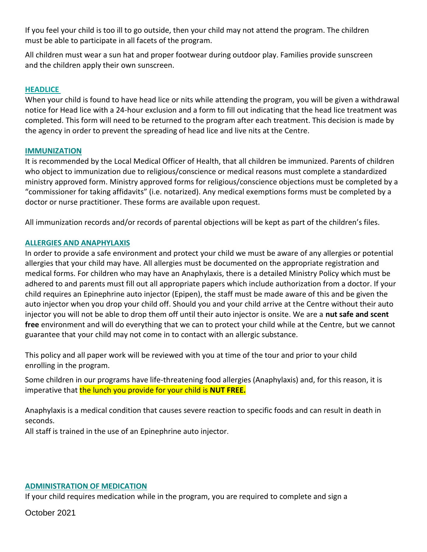If you feel your child is too ill to go outside, then your child may not attend the program. The children must be able to participate in all facets of the program.

All children must wear a sun hat and proper footwear during outdoor play. Families provide sunscreen and the children apply their own sunscreen.

# **HEADLICE**

When your child is found to have head lice or nits while attending the program, you will be given a withdrawal notice for Head lice with a 24-hour exclusion and a form to fill out indicating that the head lice treatment was completed. This form will need to be returned to the program after each treatment. This decision is made by the agency in order to prevent the spreading of head lice and live nits at the Centre.

## **IMMUNIZATION**

It is recommended by the Local Medical Officer of Health, that all children be immunized. Parents of children who object to immunization due to religious/conscience or medical reasons must complete a standardized ministry approved form. Ministry approved forms for religious/conscience objections must be completed by a "commissioner for taking affidavits" (i.e. notarized). Any medical exemptions forms must be completed by a doctor or nurse practitioner. These forms are available upon request.

All immunization records and/or records of parental objections will be kept as part of the children's files.

# **ALLERGIES AND ANAPHYLAXIS**

In order to provide a safe environment and protect your child we must be aware of any allergies or potential allergies that your child may have. All allergies must be documented on the appropriate registration and medical forms. For children who may have an Anaphylaxis, there is a detailed Ministry Policy which must be adhered to and parents must fill out all appropriate papers which include authorization from a doctor. If your child requires an Epinephrine auto injector (Epipen), the staff must be made aware of this and be given the auto injector when you drop your child off. Should you and your child arrive at the Centre without their auto injector you will not be able to drop them off until their auto injector is onsite. We are a **nut safe and scent free** environment and will do everything that we can to protect your child while at the Centre, but we cannot guarantee that your child may not come in to contact with an allergic substance.

This policy and all paper work will be reviewed with you at time of the tour and prior to your child enrolling in the program.

Some children in our programs have life-threatening food allergies (Anaphylaxis) and, for this reason, it is imperative that the lunch you provide for your child is **NUT FREE.** 

Anaphylaxis is a medical condition that causes severe reaction to specific foods and can result in death in seconds.

All staff is trained in the use of an Epinephrine auto injector.

# **ADMINISTRATION OF MEDICATION**

If your child requires medication while in the program, you are required to complete and sign a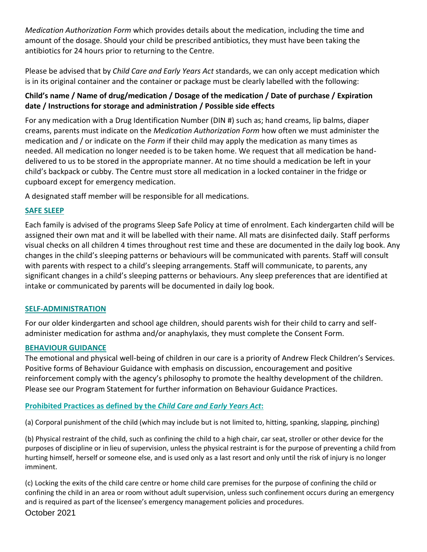*Medication Authorization Form* which provides details about the medication, including the time and amount of the dosage. Should your child be prescribed antibiotics, they must have been taking the antibiotics for 24 hours prior to returning to the Centre.

Please be advised that by *Child Care and Early Years Act* standards, we can only accept medication which is in its original container and the container or package must be clearly labelled with the following:

# **Child's name / Name of drug/medication / Dosage of the medication / Date of purchase / Expiration date / Instructions for storage and administration / Possible side effects**

For any medication with a Drug Identification Number (DIN #) such as; hand creams, lip balms, diaper creams, parents must indicate on the *Medication Authorization Form* how often we must administer the medication and / or indicate on the *Form* if their child may apply the medication as many times as needed. All medication no longer needed is to be taken home. We request that all medication be handdelivered to us to be stored in the appropriate manner. At no time should a medication be left in your child's backpack or cubby. The Centre must store all medication in a locked container in the fridge or cupboard except for emergency medication.

A designated staff member will be responsible for all medications.

# **SAFE SLEEP**

Each family is advised of the programs Sleep Safe Policy at time of enrolment. Each kindergarten child will be assigned their own mat and it will be labelled with their name. All mats are disinfected daily. Staff performs visual checks on all children 4 times throughout rest time and these are documented in the daily log book. Any changes in the child's sleeping patterns or behaviours will be communicated with parents. Staff will consult with parents with respect to a child's sleeping arrangements. Staff will communicate, to parents, any significant changes in a child's sleeping patterns or behaviours. Any sleep preferences that are identified at intake or communicated by parents will be documented in daily log book.

## **SELF-ADMINISTRATION**

For our older kindergarten and school age children, should parents wish for their child to carry and selfadminister medication for asthma and/or anaphylaxis, they must complete the Consent Form.

## **BEHAVIOUR GUIDANCE**

The emotional and physical well-being of children in our care is a priority of Andrew Fleck Children's Services. Positive forms of Behaviour Guidance with emphasis on discussion, encouragement and positive reinforcement comply with the agency's philosophy to promote the healthy development of the children. Please see our Program Statement for further information on Behaviour Guidance Practices.

# **Prohibited Practices as defined by the** *Child Care and Early Years Act***:**

(a) Corporal punishment of the child (which may include but is not limited to, hitting, spanking, slapping, pinching)

(b) Physical restraint of the child, such as confining the child to a high chair, car seat, stroller or other device for the purposes of discipline or in lieu of supervision, unless the physical restraint is for the purpose of preventing a child from hurting himself, herself or someone else, and is used only as a last resort and only until the risk of injury is no longer imminent.

October 2021 (c) Locking the exits of the child care centre or home child care premises for the purpose of confining the child or confining the child in an area or room without adult supervision, unless such confinement occurs during an emergency and is required as part of the licensee's emergency management policies and procedures.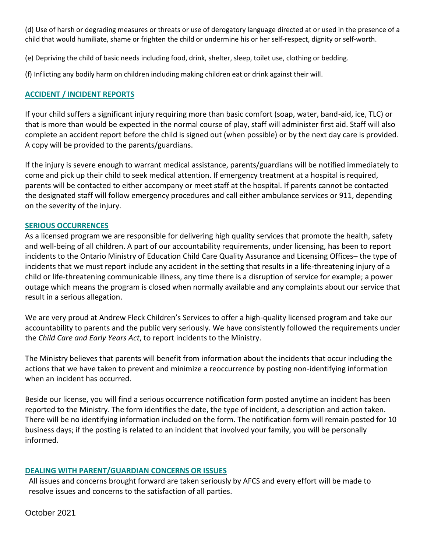(d) Use of harsh or degrading measures or threats or use of derogatory language directed at or used in the presence of a child that would humiliate, shame or frighten the child or undermine his or her self-respect, dignity or self-worth.

(e) Depriving the child of basic needs including food, drink, shelter, sleep, toilet use, clothing or bedding.

(f) Inflicting any bodily harm on children including making children eat or drink against their will.

# **ACCIDENT / INCIDENT REPORTS**

If your child suffers a significant injury requiring more than basic comfort (soap, water, band-aid, ice, TLC) or that is more than would be expected in the normal course of play, staff will administer first aid. Staff will also complete an accident report before the child is signed out (when possible) or by the next day care is provided. A copy will be provided to the parents/guardians.

If the injury is severe enough to warrant medical assistance, parents/guardians will be notified immediately to come and pick up their child to seek medical attention. If emergency treatment at a hospital is required, parents will be contacted to either accompany or meet staff at the hospital. If parents cannot be contacted the designated staff will follow emergency procedures and call either ambulance services or 911, depending on the severity of the injury.

## **SERIOUS OCCURRENCES**

As a licensed program we are responsible for delivering high quality services that promote the health, safety and well-being of all children. A part of our accountability requirements, under licensing, has been to report incidents to the Ontario Ministry of Education Child Care Quality Assurance and Licensing Offices– the type of incidents that we must report include any accident in the setting that results in a life-threatening injury of a child or life-threatening communicable illness, any time there is a disruption of service for example; a power outage which means the program is closed when normally available and any complaints about our service that result in a serious allegation.

We are very proud at Andrew Fleck Children's Services to offer a high-quality licensed program and take our accountability to parents and the public very seriously. We have consistently followed the requirements under the *Child Care and Early Years Act*, to report incidents to the Ministry.

The Ministry believes that parents will benefit from information about the incidents that occur including the actions that we have taken to prevent and minimize a reoccurrence by posting non-identifying information when an incident has occurred.

Beside our license, you will find a serious occurrence notification form posted anytime an incident has been reported to the Ministry. The form identifies the date, the type of incident, a description and action taken. There will be no identifying information included on the form. The notification form will remain posted for 10 business days; if the posting is related to an incident that involved your family, you will be personally informed.

# **DEALING WITH PARENT/GUARDIAN CONCERNS OR ISSUES**

All issues and concerns brought forward are taken seriously by AFCS and every effort will be made to resolve issues and concerns to the satisfaction of all parties.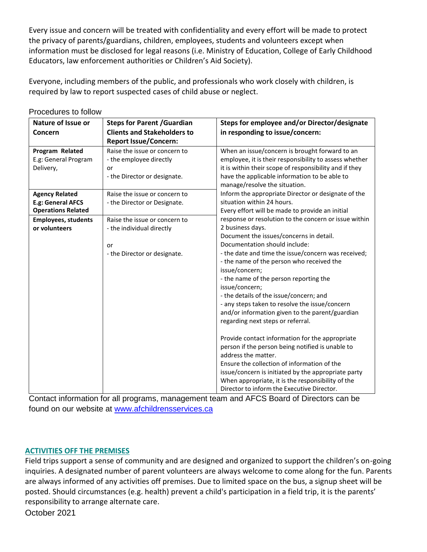Every issue and concern will be treated with confidentiality and every effort will be made to protect the privacy of parents/guardians, children, employees, students and volunteers except when information must be disclosed for legal reasons (i.e. Ministry of Education, College of Early Childhood Educators, law enforcement authorities or Children's Aid Society).

Everyone, including members of the public, and professionals who work closely with children, is required by law to report suspected cases of child abuse or neglect.

| <b>Nature of Issue or</b>  | <b>Steps for Parent / Guardian</b> | Steps for employee and/or Director/designate                                   |
|----------------------------|------------------------------------|--------------------------------------------------------------------------------|
| Concern                    | <b>Clients and Stakeholders to</b> | in responding to issue/concern:                                                |
|                            | <b>Report Issue/Concern:</b>       |                                                                                |
| Program Related            | Raise the issue or concern to      | When an issue/concern is brought forward to an                                 |
| E.g: General Program       | - the employee directly            | employee, it is their responsibility to assess whether                         |
| Delivery,                  | or                                 | it is within their scope of responsibility and if they                         |
|                            | - the Director or designate.       | have the applicable information to be able to<br>manage/resolve the situation. |
| <b>Agency Related</b>      | Raise the issue or concern to      | Inform the appropriate Director or designate of the                            |
| E.g: General AFCS          | - the Director or Designate.       | situation within 24 hours.                                                     |
| <b>Operations Related</b>  |                                    | Every effort will be made to provide an initial                                |
| <b>Employees, students</b> | Raise the issue or concern to      | response or resolution to the concern or issue within                          |
| or volunteers              | - the individual directly          | 2 business days.                                                               |
|                            |                                    | Document the issues/concerns in detail.                                        |
|                            | or                                 | Documentation should include:                                                  |
|                            | - the Director or designate.       | - the date and time the issue/concern was received;                            |
|                            |                                    | - the name of the person who received the                                      |
|                            |                                    | issue/concern;                                                                 |
|                            |                                    | - the name of the person reporting the                                         |
|                            |                                    | issue/concern;                                                                 |
|                            |                                    | - the details of the issue/concern; and                                        |
|                            |                                    | - any steps taken to resolve the issue/concern                                 |
|                            |                                    | and/or information given to the parent/guardian                                |
|                            |                                    | regarding next steps or referral.                                              |
|                            |                                    | Provide contact information for the appropriate                                |
|                            |                                    | person if the person being notified is unable to                               |
|                            |                                    | address the matter.                                                            |
|                            |                                    | Ensure the collection of information of the                                    |
|                            |                                    | issue/concern is initiated by the appropriate party                            |
|                            |                                    | When appropriate, it is the responsibility of the                              |
|                            |                                    | Director to inform the Executive Director.                                     |

Procedures to follow

Contact information for all programs, management team and AFCS Board of Directors can be found on our website at [www.afchildrensservices.ca](http://www.afchildrensservices.ca/)

# **ACTIVITIES OFF THE PREMISES**

October 2021 Field trips support a sense of community and are designed and organized to support the children's on-going inquiries. A designated number of parent volunteers are always welcome to come along for the fun. Parents are always informed of any activities off premises. Due to limited space on the bus, a signup sheet will be posted. Should circumstances (e.g. health) prevent a child's participation in a field trip, it is the parents' responsibility to arrange alternate care.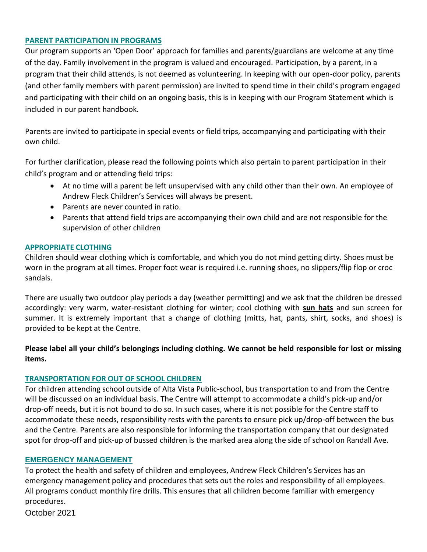#### **PARENT PARTICIPATION IN PROGRAMS**

Our program supports an 'Open Door' approach for families and parents/guardians are welcome at any time of the day. Family involvement in the program is valued and encouraged. Participation, by a parent, in a program that their child attends, is not deemed as volunteering. In keeping with our open-door policy, parents (and other family members with parent permission) are invited to spend time in their child's program engaged and participating with their child on an ongoing basis, this is in keeping with our Program Statement which is included in our parent handbook.

Parents are invited to participate in special events or field trips, accompanying and participating with their own child.

For further clarification, please read the following points which also pertain to parent participation in their child's program and or attending field trips:

- At no time will a parent be left unsupervised with any child other than their own. An employee of Andrew Fleck Children's Services will always be present.
- Parents are never counted in ratio.
- Parents that attend field trips are accompanying their own child and are not responsible for the supervision of other children

## **APPROPRIATE CLOTHING**

Children should wear clothing which is comfortable, and which you do not mind getting dirty. Shoes must be worn in the program at all times. Proper foot wear is required i.e. running shoes, no slippers/flip flop or croc sandals.

There are usually two outdoor play periods a day (weather permitting) and we ask that the children be dressed accordingly: very warm, water-resistant clothing for winter; cool clothing with **sun hats** and sun screen for summer. It is extremely important that a change of clothing (mitts, hat, pants, shirt, socks, and shoes) is provided to be kept at the Centre.

**Please label all your child's belongings including clothing. We cannot be held responsible for lost or missing items.**

# **TRANSPORTATION FOR OUT OF SCHOOL CHILDREN**

For children attending school outside of Alta Vista Public-school, bus transportation to and from the Centre will be discussed on an individual basis. The Centre will attempt to accommodate a child's pick-up and/or drop-off needs, but it is not bound to do so. In such cases, where it is not possible for the Centre staff to accommodate these needs, responsibility rests with the parents to ensure pick up/drop-off between the bus and the Centre. Parents are also responsible for informing the transportation company that our designated spot for drop-off and pick-up of bussed children is the marked area along the side of school on Randall Ave.

## **EMERGENCY MANAGEMENT**

To protect the health and safety of children and employees, Andrew Fleck Children's Services has an emergency management policy and procedures that sets out the roles and responsibility of all employees. All programs conduct monthly fire drills. This ensures that all children become familiar with emergency procedures.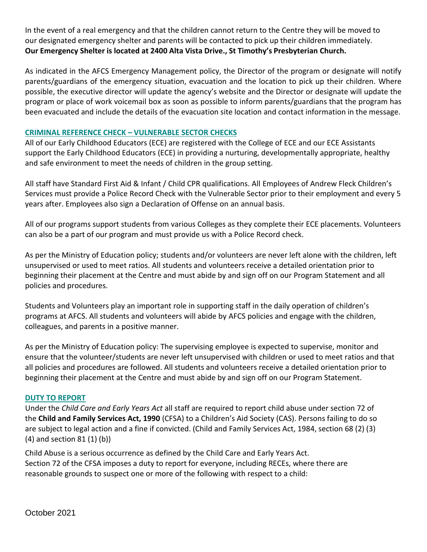In the event of a real emergency and that the children cannot return to the Centre they will be moved to our designated emergency shelter and parents will be contacted to pick up their children immediately. **Our Emergency Shelter is located at 2400 Alta Vista Drive., St Timothy's Presbyterian Church.**

As indicated in the AFCS Emergency Management policy, the Director of the program or designate will notify parents/guardians of the emergency situation, evacuation and the location to pick up their children. Where possible, the executive director will update the agency's website and the Director or designate will update the program or place of work voicemail box as soon as possible to inform parents/guardians that the program has been evacuated and include the details of the evacuation site location and contact information in the message.

# **CRIMINAL REFERENCE CHECK – VULNERABLE SECTOR CHECKS**

All of our Early Childhood Educators (ECE) are registered with the College of ECE and our ECE Assistants support the Early Childhood Educators (ECE) in providing a nurturing, developmentally appropriate, healthy and safe environment to meet the needs of children in the group setting.

All staff have Standard First Aid & Infant / Child CPR qualifications. All Employees of Andrew Fleck Children's Services must provide a Police Record Check with the Vulnerable Sector prior to their employment and every 5 years after. Employees also sign a Declaration of Offense on an annual basis.

All of our programs support students from various Colleges as they complete their ECE placements. Volunteers can also be a part of our program and must provide us with a Police Record check.

As per the Ministry of Education policy; students and/or volunteers are never left alone with the children, left unsupervised or used to meet ratios. All students and volunteers receive a detailed orientation prior to beginning their placement at the Centre and must abide by and sign off on our Program Statement and all policies and procedures.

Students and Volunteers play an important role in supporting staff in the daily operation of children's programs at AFCS. All students and volunteers will abide by AFCS policies and engage with the children, colleagues, and parents in a positive manner.

As per the Ministry of Education policy: The supervising employee is expected to supervise, monitor and ensure that the volunteer/students are never left unsupervised with children or used to meet ratios and that all policies and procedures are followed. All students and volunteers receive a detailed orientation prior to beginning their placement at the Centre and must abide by and sign off on our Program Statement.

## **DUTY TO REPORT**

Under the *Child Care and Early Years Act* all staff are required to report child abuse under section 72 of the **Child and Family Services Act, 1990** (CFSA) to a Children's Aid Society (CAS). Persons failing to do so are subject to legal action and a fine if convicted. (Child and Family Services Act, 1984, section 68 (2) (3) (4) and section 81 (1) (b))

Child Abuse is a serious occurrence as defined by the Child Care and Early Years Act. Section 72 of the CFSA imposes a duty to report for everyone, including RECEs, where there are reasonable grounds to suspect one or more of the following with respect to a child: